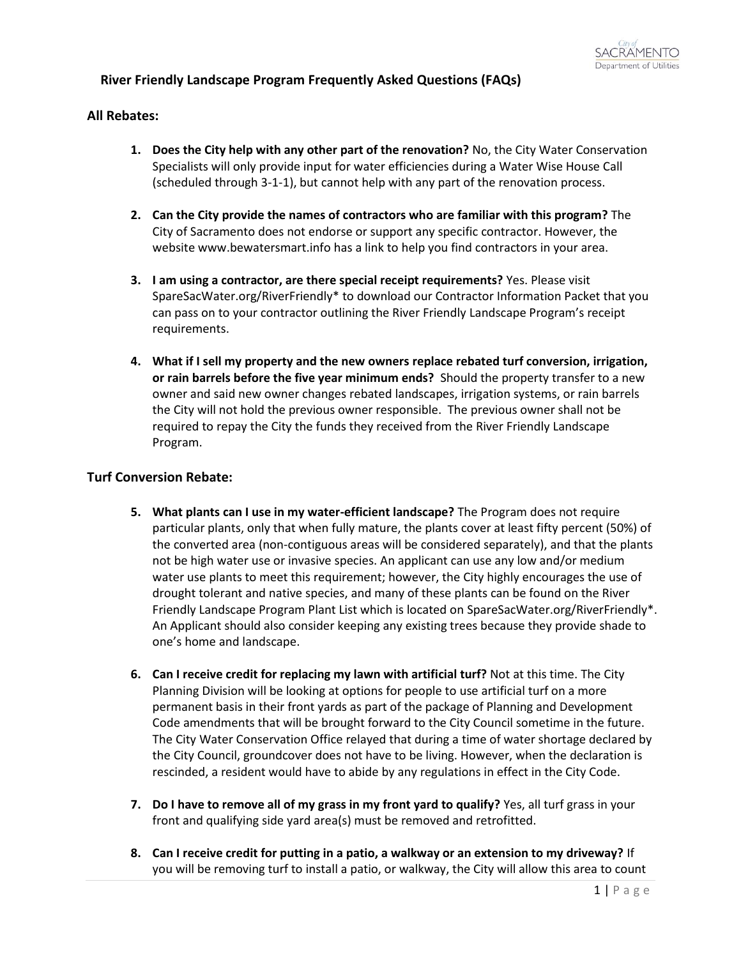# **River Friendly Landscape Program Frequently Asked Questions (FAQs)**

## **All Rebates:**

- **1. Does the City help with any other part of the renovation?** No, the City Water Conservation Specialists will only provide input for water efficiencies during a Water Wise House Call (scheduled through 3-1-1), but cannot help with any part of the renovation process.
- **2. Can the City provide the names of contractors who are familiar with this program?** The City of Sacramento does not endorse or support any specific contractor. However, the website www.bewatersmart.info has a link to help you find contractors in your area.
- **3. I am using a contractor, are there special receipt requirements?** Yes. Please visit SpareSacWater.org/RiverFriendly\* to download our Contractor Information Packet that you can pass on to your contractor outlining the River Friendly Landscape Program's receipt requirements.
- **4. What if I sell my property and the new owners replace rebated turf conversion, irrigation, or rain barrels before the five year minimum ends?** Should the property transfer to a new owner and said new owner changes rebated landscapes, irrigation systems, or rain barrels the City will not hold the previous owner responsible. The previous owner shall not be required to repay the City the funds they received from the River Friendly Landscape Program.

## **Turf Conversion Rebate:**

- **5. What plants can I use in my water-efficient landscape?** The Program does not require particular plants, only that when fully mature, the plants cover at least fifty percent (50%) of the converted area (non-contiguous areas will be considered separately), and that the plants not be high water use or invasive species. An applicant can use any low and/or medium water use plants to meet this requirement; however, the City highly encourages the use of drought tolerant and native species, and many of these plants can be found on the River Friendly Landscape Program Plant List which is located on SpareSacWater.org/RiverFriendly\*. An Applicant should also consider keeping any existing trees because they provide shade to one's home and landscape.
- **6. Can I receive credit for replacing my lawn with artificial turf?** Not at this time. The City Planning Division will be looking at options for people to use artificial turf on a more permanent basis in their front yards as part of the package of Planning and Development Code amendments that will be brought forward to the City Council sometime in the future. The City Water Conservation Office relayed that during a time of water shortage declared by the City Council, groundcover does not have to be living. However, when the declaration is rescinded, a resident would have to abide by any regulations in effect in the City Code.
- **7. Do I have to remove all of my grass in my front yard to qualify?** Yes, all turf grass in your front and qualifying side yard area(s) must be removed and retrofitted.
- **8. Can I receive credit for putting in a patio, a walkway or an extension to my driveway?** If you will be removing turf to install a patio, or walkway, the City will allow this area to count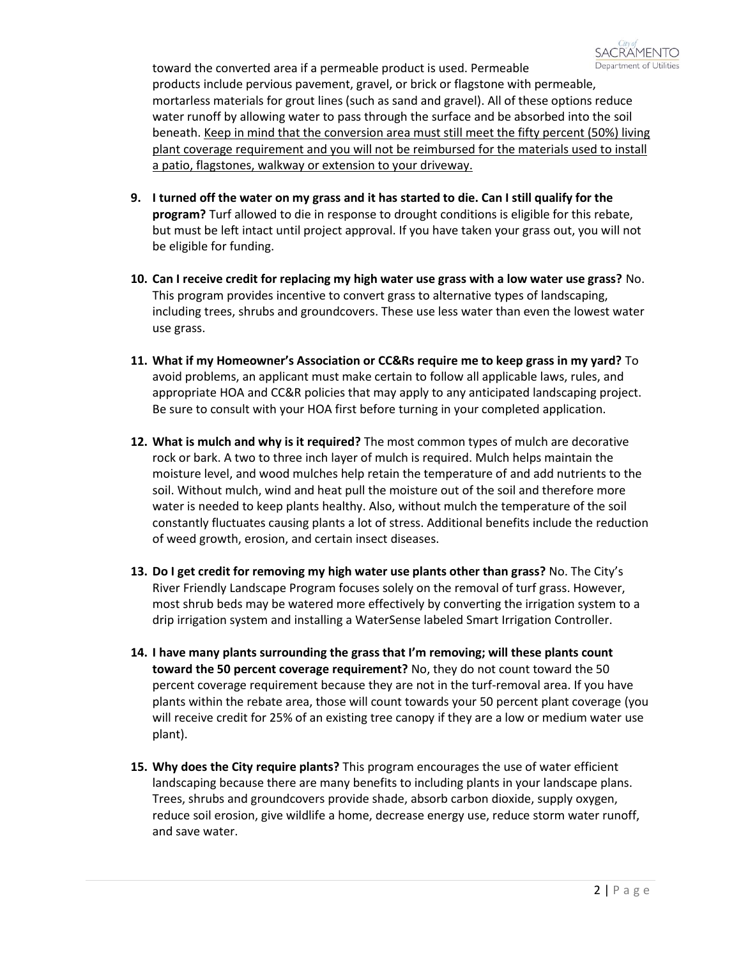

toward the converted area if a permeable product is used. Permeable products include pervious pavement, gravel, or brick or flagstone with permeable, mortarless materials for grout lines (such as sand and gravel). All of these options reduce water runoff by allowing water to pass through the surface and be absorbed into the soil beneath. Keep in mind that the conversion area must still meet the fifty percent (50%) living plant coverage requirement and you will not be reimbursed for the materials used to install a patio, flagstones, walkway or extension to your driveway.

- **9. I turned off the water on my grass and it has started to die. Can I still qualify for the program?** Turf allowed to die in response to drought conditions is eligible for this rebate, but must be left intact until project approval. If you have taken your grass out, you will not be eligible for funding.
- **10. Can I receive credit for replacing my high water use grass with a low water use grass?** No. This program provides incentive to convert grass to alternative types of landscaping, including trees, shrubs and groundcovers. These use less water than even the lowest water use grass.
- **11. What if my Homeowner's Association or CC&Rs require me to keep grass in my yard?** To avoid problems, an applicant must make certain to follow all applicable laws, rules, and appropriate HOA and CC&R policies that may apply to any anticipated landscaping project. Be sure to consult with your HOA first before turning in your completed application.
- **12. What is mulch and why is it required?** The most common types of mulch are decorative rock or bark. A two to three inch layer of mulch is required. Mulch helps maintain the moisture level, and wood mulches help retain the temperature of and add nutrients to the soil. Without mulch, wind and heat pull the moisture out of the soil and therefore more water is needed to keep plants healthy. Also, without mulch the temperature of the soil constantly fluctuates causing plants a lot of stress. Additional benefits include the reduction of weed growth, erosion, and certain insect diseases.
- **13. Do I get credit for removing my high water use plants other than grass?** No. The City's River Friendly Landscape Program focuses solely on the removal of turf grass. However, most shrub beds may be watered more effectively by converting the irrigation system to a drip irrigation system and installing a WaterSense labeled Smart Irrigation Controller.
- **14. I have many plants surrounding the grass that I'm removing; will these plants count toward the 50 percent coverage requirement?** No, they do not count toward the 50 percent coverage requirement because they are not in the turf-removal area. If you have plants within the rebate area, those will count towards your 50 percent plant coverage (you will receive credit for 25% of an existing tree canopy if they are a low or medium water use plant).
- **15. Why does the City require plants?** This program encourages the use of water efficient landscaping because there are many benefits to including plants in your landscape plans. Trees, shrubs and groundcovers provide shade, absorb carbon dioxide, supply oxygen, reduce soil erosion, give wildlife a home, decrease energy use, reduce storm water runoff, and save water.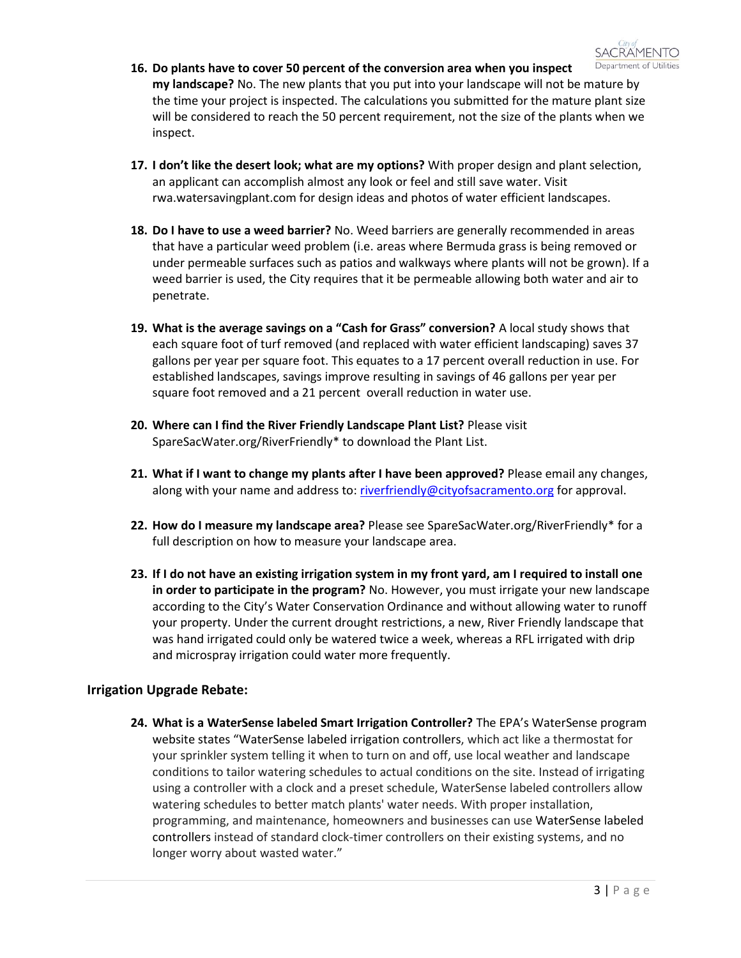

- **16. Do plants have to cover 50 percent of the conversion area when you inspect my landscape?** No. The new plants that you put into your landscape will not be mature by the time your project is inspected. The calculations you submitted for the mature plant size will be considered to reach the 50 percent requirement, not the size of the plants when we inspect.
- **17. I don't like the desert look; what are my options?** With proper design and plant selection, an applicant can accomplish almost any look or feel and still save water. Visit rwa.watersavingplant.com for design ideas and photos of water efficient landscapes.
- **18. Do I have to use a weed barrier?** No. Weed barriers are generally recommended in areas that have a particular weed problem (i.e. areas where Bermuda grass is being removed or under permeable surfaces such as patios and walkways where plants will not be grown). If a weed barrier is used, the City requires that it be permeable allowing both water and air to penetrate.
- **19. What is the average savings on a "Cash for Grass" conversion?** A local study shows that each square foot of turf removed (and replaced with water efficient landscaping) saves 37 gallons per year per square foot. This equates to a 17 percent overall reduction in use. For established landscapes, savings improve resulting in savings of 46 gallons per year per square foot removed and a 21 percent overall reduction in water use.
- **20. Where can I find the River Friendly Landscape Plant List?** Please visit SpareSacWater.org/RiverFriendly\* to download the Plant List.
- **21. What if I want to change my plants after I have been approved?** Please email any changes, along with your name and address to[: riverfriendly@cityofsacramento.org](mailto:riverfriendly@cityofsacramento.org) for approval.
- **22. How do I measure my landscape area?** Please see SpareSacWater.org/RiverFriendly\* for a full description on how to measure your landscape area.
- **23. If I do not have an existing irrigation system in my front yard, am I required to install one in order to participate in the program?** No. However, you must irrigate your new landscape according to the City's Water Conservation Ordinance and without allowing water to runoff your property. Under the current drought restrictions, a new, River Friendly landscape that was hand irrigated could only be watered twice a week, whereas a RFL irrigated with drip and microspray irrigation could water more frequently.

## **Irrigation Upgrade Rebate:**

**24. What is a WaterSense labeled Smart Irrigation Controller?** The EPA's WaterSense program website states "WaterSense labeled irrigation controllers, which act like a thermostat for your sprinkler system telling it when to turn on and off, use local weather and landscape conditions to tailor watering schedules to actual conditions on the site. Instead of irrigating using a controller with a clock and a preset schedule, WaterSense labeled controllers allow watering schedules to better match plants' water needs. With proper installation, programming, and maintenance, homeowners and businesses can use WaterSense labeled controllers instead of standard clock-timer controllers on their existing systems, and no longer worry about wasted water."